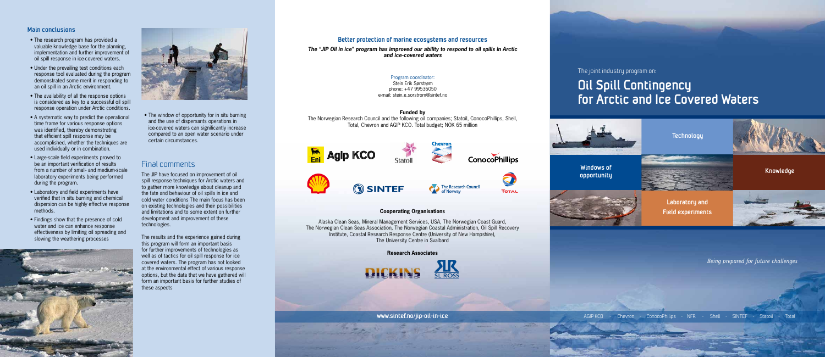The joint industry program on:

# **Oil Spill Contingency for Arctic and Ice Covered Waters**



*Being prepared for future challenges*

AGIP KCO - Chevron - ConocoPhilips - NFR - Shell - SINTEF - Statoil - Total

#### **Cooperating Organisations**

Alaska Clean Seas, Mineral Management Services, USA, The Norwegian Coast Guard, The Norwegian Clean Seas Association, The Norwegian Coastal Administration, Oil Spill Recovery Institute, Coastal Research Response Centre (University of New Hampshire), The University Centre in Svalbard

**Research Associates**



**www.sintef.no/jip-oil-in-ice**

**ConocoPhillips** 



**TOTAL** 



# **Better protection of marine ecosystems and resources**

*The "JIP Oil in ice" program has improved our ability to respond to oil spills in Arctic and ice-covered waters*

## **Main conclusions**

- The research program has provided a valuable knowledge base for the planning, implementation and further improvement of oil spill response in ice-covered waters.
- Under the prevailing test conditions each response tool evaluated during the program demonstrated some merit in responding to an oil spill in an Arctic environment.
- The availability of all the response options is considered as key to a successful oil spill response operation under Arctic conditions.
- A systematic way to predict the operational time frame for various response options was identified, thereby demonstrating that efficient spill response may be accomplished, whether the techniques are used individually or in combination.
- Large-scale field experiments proved to be an important verification of results from a number of small- and medium-scale laboratory experiments being performed during the program.
- Laboratory and field experiments have verified that in situ burning and chemical dispersion can be highly effective response methods.
- Findings show that the presence of cold water and ice can enhance response effectiveness by limiting oil spreading and slowing the weathering processes





• The window of opportunity for in situ burning and the use of dispersants operations in ice-covered waters can significantly increase compared to an open water scenario under certain circumstances.

# Final comments

The JIP have focused on improvement of oil spill response techniques for Arctic waters and to gather more knowledge about cleanup and the fate and behaviour of oil spills in ice and cold water conditions The main focus has been on existing technologies and their possibilities and limitations and to some extent on further development and improvement of these technologies.

The results and the experience gained during this program will form an important basis for further improvements of technologies as well as of tactics for oil spill response for ice covered waters. The program has not looked at the environmental effect of various response options, but the data that we have gathered will form an important basis for further studies of these aspects

Program coordinator: Stein Erik Sørstrøm

phone: +47 99536050 e-mail: stein.e.sorstrom@sintef.no

#### **Funded by**

The Norwegian Research Council and the following oil companies; Statoil, ConocoPhillips, Shell, Total, Chevron and AGIP KCO. Total budget; NOK 65 million